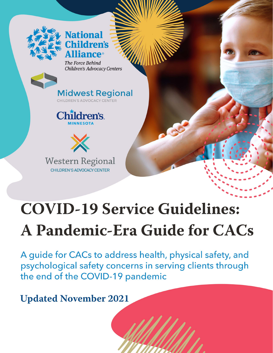

# **National Children's iance**®

The Force Behind Children's Advocacy Centers







# **COVID-19 Service Guidelines: A Pandemic-Era Guide for CACs**

A guide for CACs to address health, physical safety, and psychological safety concerns in serving clients through the end of the COVID-19 pandemic

**Updated November 2021**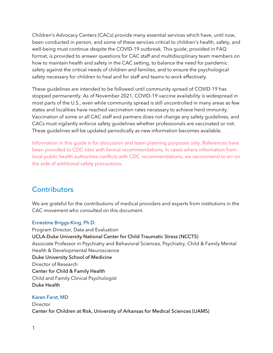Children's Advocacy Centers (CACs) provide many essential services which have, until now, been conducted in person, and some of these services critical to children's health, safety, and well-being must continue despite the COVID-19 outbreak. This guide, provided in FAQ format, is provided to answer questions for CAC staff and multidisciplinary team members on how to maintain health and safety in the CAC setting, to balance the need for pandemic safety against the critical needs of children and families, and to ensure the psychological safety necessary for children to heal and for staff and teams to work effectively.

These guidelines are intended to be followed until community spread of COVID-19 has stopped permanently. As of November 2021, COVID-19 vaccine availability is widespread in most parts of the U.S., even while community spread is still uncontrolled in many areas as few states and localities have reached vaccination rates necessary to achieve herd immunity. Vaccination of some or all CAC staff and partners does not change any safety guidelines, and CACs must vigilantly enforce safety guidelines whether professionals are vaccinated or not. These guidelines will be updated periodically as new information becomes available.

Information in this guide is for discussion and team-planning purposes only. References have been provided to CDC sites with formal recommendations. In cases where information from local public health authorities conflicts with CDC recommendations, we recommend to err on the side of additional safety precautions.

# **Contributors**

We are grateful for the contributions of medical providers and experts from institutions in the CAC movement who consulted on this document.

#### Ernestine Briggs-King, Ph.D.

Program Director, Data and Evaluation UCLA-Duke University National Center for Child Traumatic Stress (NCCTS) Associate Professor in Psychiatry and Behavioral Sciences, Psychiatry, Child & Family Mental Health & Developmental Neuroscience Duke University School of Medicine Director of Research Center for Child & Family Health Child and Family Clinical Psychologist Duke Health

#### Karen Farst, MD

Director Center for Children at Risk, University of Arkansas for Medical Sciences (UAMS)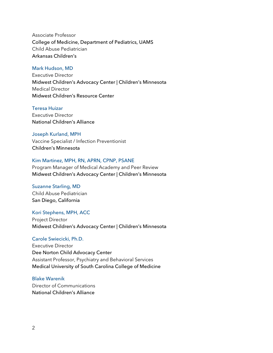Associate Professor College of Medicine, Department of Pediatrics, UAMS Child Abuse Pediatrician Arkansas Children's

#### Mark Hudson, MD

Executive Director Midwest Children's Advocacy Center | Children's Minnesota Medical Director Midwest Children's Resource Center

#### Teresa Huizar

Executive Director National Children's Alliance

#### Joseph Kurland, MPH

Vaccine Specialist / Infection Preventionist Children's Minnesota

#### Kim Martinez, MPH, RN, APRN, CPNP, PSANE

Program Manager of Medical Academy and Peer Review Midwest Children's Advocacy Center | Children's Minnesota

#### Suzanne Starling, MD

Child Abuse Pediatrician San Diego, California

#### Kori Stephens, MPH, ACC

Project Director Midwest Children's Advocacy Center | Children's Minnesota

#### Carole Swiecicki, Ph.D.

Executive Director Dee Norton Child Advocacy Center Assistant Professor, Psychiatry and Behavioral Services Medical University of South Carolina College of Medicine

#### Blake Warenik

Director of Communications National Children's Alliance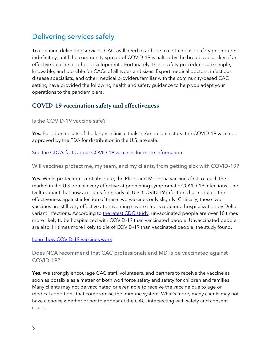# Delivering services safely

To continue delivering services, CACs will need to adhere to certain basic safety procedures indefinitely, until the community spread of COVID-19 is halted by the broad availability of an effective vaccine or other developments. Fortunately, these safety procedures are simple, knowable, and possible for CACs of all types and sizes. Expert medical doctors, infectious disease specialists, and other medical providers familiar with the community-based CAC setting have provided the following health and safety guidance to help you adapt your operations to the pandemic era.

# **COVID-19 vaccination safety and effectiveness**

Is the COVID-19 vaccine safe?

Yes. Based on results of the largest clinical trials in American history, the COVID-19 vaccines approved by the FDA for distribution in the U.S. are safe.

[See the CDC's facts about COVID-19 vaccines for more information](https://www.cdc.gov/coronavirus/2019-ncov/vaccines/facts.html?CDC_AA_refVal=https%3A%2F%2Fwww.cdc.gov%2Fcoronavirus%2F2019-ncov%2Fvaccines%2Fvaccine-benefits%2Ffacts.html)

Will vaccines protect me, my team, and my clients, from getting sick with COVID-19?

Yes. While protection is not absolute, the Pfizer and Moderna vaccines first to reach the market in the U.S. remain very effective at preventing symptomatic COVID-19 infections. The Delta variant that now accounts for nearly all U.S. COVID-19 infections has reduced the effectiveness against infection of these two vaccines only slightly. Critically, these two vaccines are still very effective at preventing severe illness requiring hospitalization by Delta variant infections. According t[o the latest CDC study,](https://www.cdc.gov/mmwr/volumes/70/wr/mm7037e1.htm?s_cid=mm7037e1_w) unvaccinated people are over 10 times more likely to be hospitalized with COVID-19 than vaccinated people. Unvaccinated people are also 11 times more likely to die of COVID-19 than vaccinated people, the study found.

#### [Learn how COVID-19 vaccines work](https://www.cdc.gov/coronavirus/2019-ncov/vaccines/different-vaccines/how-they-work.html)

Does NCA recommend that CAC professionals and MDTs be vaccinated against COVID-19?

Yes. We strongly encourage CAC staff, volunteers, and partners to receive the vaccine as soon as possible as a matter of both workforce safety and safety for children and families. Many clients may not be vaccinated or even able to receive the vaccine due to age or medical conditions that compromise the immune system. What's more, many clients may not have a choice whether or not to appear at the CAC, intersecting with safety and consent issues.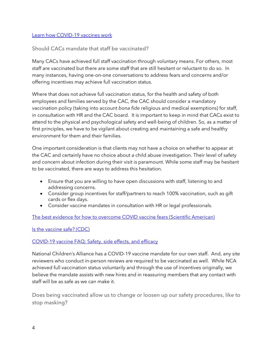#### [Learn how COVID-19 vaccines work](https://www.cdc.gov/coronavirus/2019-ncov/vaccines/different-vaccines/how-they-work.html)

#### Should CACs mandate that staff be vaccinated?

Many CACs have achieved full staff vaccination through voluntary means. For others, most staff are vaccinated but there are some staff that are still hesitant or reluctant to do so. In many instances, having one-on-one conversations to address fears and concerns and/or offering incentives may achieve full vaccination status.

Where that does not achieve full vaccination status, for the health and safety of both employees and families served by the CAC, the CAC should consider a mandatory vaccination policy (taking into account *bona fide* religious and medical exemptions) for staff, in consultation with HR and the CAC board. It is important to keep in mind that CACs exist to attend to the physical and psychological safety and well-being of children. So, as a matter of first principles, we have to be vigilant about creating and maintaining a safe and healthy environment for them and their families.

One important consideration is that clients may not have a choice on whether to appear at the CAC and certainly have no choice about a child abuse investigation. Their level of safety and concern about infection during their visit is paramount. While some staff may be hesitant to be vaccinated, there are ways to address this hesitation.

- Ensure that you are willing to have open discussions with staff, listening to and addressing concerns.
- Consider group incentives for staff/partners to reach 100% vaccination, such as gift cards or flex days.
- Consider vaccine mandates in consultation with HR or legal professionals.

[The best evidence for how to overcome COVID vaccine fears \(Scientific American\)](https://www.scientificamerican.com/article/the-best-evidence-for-how-to-overcome-covid-vaccine-fears1/)

[Is the vaccine safe? \(CDC\)](https://www.cdc.gov/coronavirus/2019-ncov/vaccines/safety.html)

#### [COVID-19 vaccine FAQ: Safety, side effects, and efficacy](https://www.webmd.com/vaccines/covid-19-vaccine/news/20201217/covid-19-vaccine-faq-safety-side-effects-efficacy)

National Children's Alliance has a COVID-19 vaccine mandate for our own staff. And, any site reviewers who conduct in-person reviews are required to be vaccinated as well. While NCA achieved full vaccination status voluntarily and through the use of incentives originally, we believe the mandate assists with new hires and in reassuring members that any contact with staff will be as safe as we can make it.

Does being vaccinated allow us to change or loosen up our safety procedures, like to stop masking?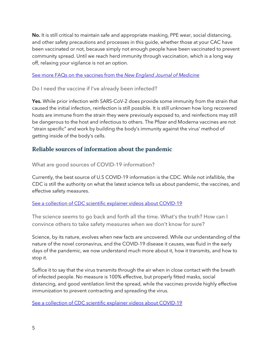No. It is still critical to maintain safe and appropriate masking, PPE wear, social distancing, and other safety precautions and processes in this guide, whether those at your CAC have been vaccinated or not, because simply not enough people have been vaccinated to prevent community spread. Until we reach herd immunity through vaccination, which is a long way off, relaxing your vigilance is not an option.

#### [See more FAQs on the vaccines from the](https://www.nejm.org/covid-vaccine/faq) *New England Journal of Medicine*

#### Do I need the vaccine if I've already been infected?

Yes. While prior infection with SARS-CoV-2 does provide some immunity from the strain that caused the initial infection, reinfection is still possible. It is still unknown how long recovered hosts are immune from the strain they were previously exposed to, and reinfections may still be dangerous to the host and infectious to others. The Pfizer and Moderna vaccines are not "strain specific" and work by building the body's immunity against the virus' method of getting inside of the body's cells.

## **Reliable sources of information about the pandemic**

What are good sources of COVID-19 information?

Currently, the best source of U.S COVID-19 information is the CDC. While not infallible, the CDC is still the authority on what the latest science tells us about pandemic, the vaccines, and effective safety measures.

#### [See a collection of CDC scientific explainer videos about COVID-19](https://www.cdc.gov/coronavirus/2019-ncov/your-health/need-to-know.html)

The science seems to go back and forth all the time. What's the truth? How can I convince others to take safety measures when we don't know for sure?

Science, by its nature, evolves when new facts are uncovered. While our understanding of the nature of the novel coronavirus, and the COVID-19 disease it causes, was fluid in the early days of the pandemic, we now understand much more about it, how it transmits, and how to stop it.

Suffice it to say that the virus transmits through the air when in close contact with the breath of infected people. No measure is 100% effective, but properly fitted masks, social distancing, and good ventilation limit the spread, while the vaccines provide highly effective immunization to prevent contracting and spreading the virus.

[See a collection of CDC scientific explainer videos about COVID-19](https://www.cdc.gov/coronavirus/2019-ncov/your-health/need-to-know.html)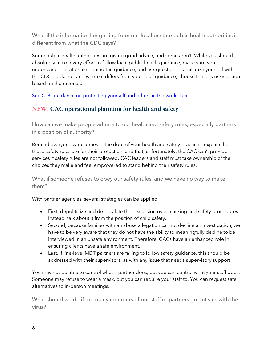What if the information I'm getting from our local or state public health authorities is different from what the CDC says?

Some public health authorities are giving good advice, and some aren't. While you should absolutely make every effort to follow local public health guidance, make sure you understand the rationale behind the guidance, and ask questions. Familiarize yourself with the CDC guidance, and where it differs from your local guidance, choose the less risky option based on the rationale.

See CDC quidance on protecting yourself and others in the workplace

# **NEW! CAC operational planning for health and safety**

How can we make people adhere to our health and safety rules, especially partners in a position of authority?

Remind everyone who comes in the door of your health and safety practices, explain that these safety rules are for their protection, and that, unfortunately, the CAC can't provide services if safety rules are not followed. CAC leaders and staff must take ownership of the choices they make and feel empowered to stand behind their safety rules.

What if someone refuses to obey our safety rules, and we have no way to make them?

With partner agencies, several strategies can be applied.

- First, depoliticize and de-escalate the discussion over masking and safety procedures. Instead, talk about it from the position of child safety.
- Second, because families with an abuse allegation cannot decline an investigation, we have to be very aware that they do not have the ability to meaningfully decline to be interviewed in an unsafe environment. Therefore, CACs have an enhanced role in ensuring clients have a safe environment.
- Last, if line-level MDT partners are failing to follow safety guidance, this should be addressed with their supervisors, as with any issue that needs supervisory support.

You may not be able to control what a partner does, but you can control what your staff does. Someone may refuse to wear a mask, but you can require your staff to. You can request safe alternatives to in-person meetings.

What should we do if too many members of our staff or partners go out sick with the virus?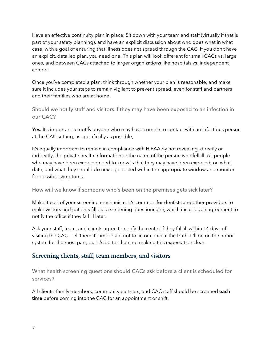Have an effective continuity plan in place. Sit down with your team and staff (virtually if that is part of your safety planning), and have an explicit discussion about who does what in what case, with a goal of ensuring that illness does not spread through the CAC. If you don't have an explicit, detailed plan, you need one. This plan will look different for small CACs vs. large ones, and between CACs attached to larger organizations like hospitals vs. independent centers.

Once you've completed a plan, think through whether your plan is reasonable, and make sure it includes your steps to remain vigilant to prevent spread, even for staff and partners and their families who are at home.

Should we notify staff and visitors if they may have been exposed to an infection in our CAC?

Yes. It's important to notify anyone who may have come into contact with an infectious person at the CAC setting, as specifically as possible,

It's equally important to remain in compliance with HIPAA by not revealing, directly or indirectly, the private health information or the name of the person who fell ill. All people who may have been exposed need to know is that they may have been exposed, on what date, and what they should do next: get tested within the appropriate window and monitor for possible symptoms.

How will we know if someone who's been on the premises gets sick later?

Make it part of your screening mechanism. It's common for dentists and other providers to make visitors and patients fill out a screening questionnaire, which includes an agreement to notify the office if they fall ill later.

Ask your staff, team, and clients agree to notify the center if they fall ill within 14 days of visiting the CAC. Tell them it's important not to lie or conceal the truth. It'll be on the honor system for the most part, but it's better than not making this expectation clear.

# **Screening clients, staff, team members, and visitors**

What health screening questions should CACs ask before a client is scheduled for services?

All clients, family members, community partners, and CAC staff should be screened each time before coming into the CAC for an appointment or shift.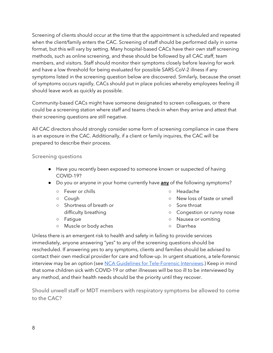Screening of clients should occur at the time that the appointment is scheduled and repeated when the client/family enters the CAC. Screening of staff should be performed daily in some format, but this will vary by setting. Many hospital-based CACs have their own staff screening methods, such as online screening, and these should be followed by all CAC staff, team members, and visitors. Staff should monitor their symptoms closely before leaving for work and have a low threshold for being evaluated for possible SARS-CoV-2 illness if any symptoms listed in the screening question below are discovered. Similarly, because the onset of symptoms occurs rapidly, CACs should put in place policies whereby employees feeling ill should leave work as quickly as possible.

Community-based CACs might have someone designated to screen colleagues, or there could be a screening station where staff and teams check-in when they arrive and attest that their screening questions are still negative.

All CAC directors should strongly consider some form of screening compliance in case there is an exposure in the CAC. Additionally, if a client or family inquires, the CAC will be prepared to describe their process.

Screening questions

- Have you recently been exposed to someone known or suspected of having COVID-19?
- Do you or anyone in your home currently have **any** of the following symptoms?
	- Fever or chills
	- Cough
	- Shortness of breath or difficulty breathing
	- Fatigue
	- Muscle or body aches
- Headache
- New loss of taste or smell
- Sore throat
- Congestion or runny nose
- Nausea or vomiting
- Diarrhea

Unless there is an emergent risk to health and safety in failing to provide services immediately, anyone answering "yes" to any of the screening questions should be rescheduled. If answering yes to any symptoms, clients and families should be advised to contact their own medical provider for care and follow-up. In urgent situations, a tele-forensic interview may be an option (see [NCA Guidelines for Tele-Forensic Interviews.](https://learn.nationalchildrensalliance.org/telefi)) Keep in mind that some children sick with COVID-19 or other illnesses will be too ill to be interviewed by any method, and their health needs should be the priority until they recover.

Should unwell staff or MDT members with respiratory symptoms be allowed to come to the CAC?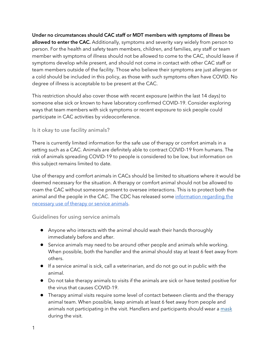Under no circumstances should CAC staff or MDT members with symptoms of illness be allowed to enter the CAC. Additionally, symptoms and severity vary widely from person to person. For the health and safety team members, children, and families, any staff or team member with symptoms of illness should not be allowed to come to the CAC, should leave if symptoms develop while present, and should not come in contact with other CAC staff or team members outside of the facility. Those who believe their symptoms are just allergies or a cold should be included in this policy, as those with such symptoms often have COVID. No degree of illness is acceptable to be present at the CAC.

This restriction should also cover those with recent exposure (within the last 14 days) to someone else sick or known to have laboratory confirmed COVID-19. Consider exploring ways that team members with sick symptoms or recent exposure to sick people could participate in CAC activities by videoconference.

#### Is it okay to use facility animals?

There is currently limited information for the safe use of therapy or comfort animals in a setting such as a CAC. Animals are definitely able to contract COVID-19 from humans. The risk of animals spreading COVID-19 to people is considered to be low, but information on this subject remains limited to date.

Use of therapy and comfort animals in CACs should be limited to situations where it would be deemed necessary for the situation. A therapy or comfort animal should not be allowed to roam the CAC without someone present to oversee interactions. This is to protect both the animal and the people in the CAC. The CDC has released some information regarding the [necessary use of therapy or service animals.](https://www.cdc.gov/coronavirus/2019-ncov/animals/service-therapy-animals.html)

Guidelines for using service animals

- Anyone who interacts with the animal should wash their hands thoroughly immediately before and after.
- Service animals may need to be around other people and animals while working. When possible, both the handler and the animal should stay at least 6 feet away from others.
- If a service animal is sick, call a veterinarian, and do not go out in public with the animal.
- Do not take therapy animals to visits if the animals are sick or have tested positive for the virus that causes COVID-19.
- Therapy animal visits require some level of contact between clients and the therapy animal team. When possible, keep animals at least 6 feet away from people and animals not participating in the visit. Handlers and participants should wear [a mask](https://www.cdc.gov/coronavirus/2019-ncov/prevent-getting-sick/diy-cloth-face-coverings.html) during the visit.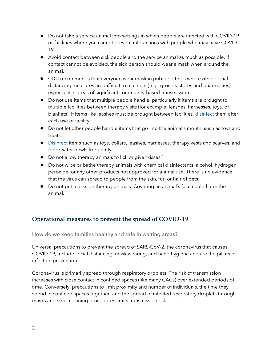- Do not take a service animal into settings in which people are infected with COVID-19 or facilities where you cannot prevent interactions with people who may have COVID-19.
- Avoid contact between sick people and the service animal as much as possible. If contact cannot be avoided, the sick person should wear a mask when around the animal.
- CDC recommends that everyone wear mask in public settings where other social distancing measures are difficult to maintain (e.g., grocery stores and pharmacies), especially in areas of significant community-based transmission.
- Do not use items that multiple people handle, particularly if items are brought to multiple facilities between therapy visits (for example, leashes, harnesses, toys, or blankets). If items like leashes must be brought between facilities, [disinfect](https://www.cdc.gov/coronavirus/2019-ncov/prevent-getting-sick/disinfecting-your-home.html) them after each use or facility.
- Do not let other people handle items that go into the animal's mouth, such as toys and treats.
- [Disinfect](https://www.cdc.gov/coronavirus/2019-ncov/prevent-getting-sick/disinfecting-your-home.html) items such as toys, collars, leashes, harnesses, therapy vests and scarves, and food/water bowls frequently.
- Do not allow therapy animals to lick or give "kisses."
- Do not wipe or bathe therapy animals with chemical disinfectants, alcohol, hydrogen peroxide, or any other products not approved for animal use. There is no evidence that the virus can spread to people from the skin, fur, or hair of pets.
- Do not put masks on therapy animals. Covering an animal's face could harm the animal.

# **Operational measures to prevent the spread of COVID-19**

How do we keep families healthy and safe in waiting areas?

Universal precautions to prevent the spread of SARS-CoV-2, the coronavirus that causes COVID-19, include social distancing, mask wearing, and hand hygiene and are the pillars of infection prevention.

Coronavirus is primarily spread through respiratory droplets. The risk of transmission increases with close contact in confined spaces (like many CACs) over extended periods of time. Conversely, precautions to limit proximity and number of individuals, the time they spend in confined spaces together, and the spread of infected respiratory droplets through masks and strict cleaning procedures limits transmission risk.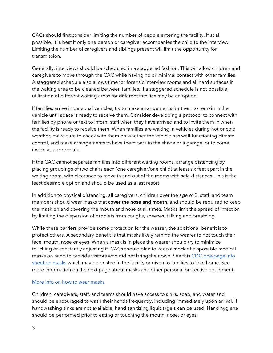CACs should first consider limiting the number of people entering the facility. If at all possible, it is best if only one person or caregiver accompanies the child to the interview. Limiting the number of caregivers and siblings present will limit the opportunity for transmission.

Generally, interviews should be scheduled in a staggered fashion. This will allow children and caregivers to move through the CAC while having no or minimal contact with other families. A staggered schedule also allows time for forensic interview rooms and all hard surfaces in the waiting area to be cleaned between families. If a staggered schedule is not possible, utilization of different waiting areas for different families may be an option.

If families arrive in personal vehicles, try to make arrangements for them to remain in the vehicle until space is ready to receive them. Consider developing a protocol to connect with families by phone or text to inform staff when they have arrived and to invite them in when the facility is ready to receive them. When families are waiting in vehicles during hot or cold weather, make sure to check with them on whether the vehicle has well-functioning climate control, and make arrangements to have them park in the shade or a garage, or to come inside as appropriate.

If the CAC cannot separate families into different waiting rooms, arrange distancing by placing groupings of two chairs each (one caregiver/one child) at least six feet apart in the waiting room, with clearance to move in and out of the rooms with safe distances. This is the least desirable option and should be used as a last resort.

In addition to physical distancing, all caregivers, children over the age of 2, staff, and team members should wear masks that cover the nose and mouth, and should be required to keep the mask on and covering the mouth and nose at all times. Masks limit the spread of infection by limiting the dispersion of droplets from coughs, sneezes, talking and breathing.

While these barriers provide some protection for the wearer, the additional benefit is to protect others. A secondary benefit is that masks likely remind the wearer to not touch their face, mouth, nose or eyes. When a mask is in place the wearer should try to minimize touching or constantly adjusting it. CACs should plan to keep a stock of disposable medical masks on hand to provide visitors who did not bring their own. See this CDC one-page info [sheet on](https://www.cdc.gov/coronavirus/2019-ncov/downloads/cloth-face-covering.pdf) masks which may be posted in the facility or given to families to take home. See more information on the next page about masks and other personal protective equipment.

#### [More info on how to wear](https://www.cdc.gov/coronavirus/2019-ncov/prevent-getting-sick/how-to-wear-cloth-face-coverings.html) masks

Children, caregivers, staff, and teams should have access to sinks, soap, and water and should be encouraged to wash their hands frequently, including immediately upon arrival. If handwashing sinks are not available, hand sanitizing liquids/gels can be used. Hand hygiene should be performed prior to eating or touching the mouth, nose, or eyes.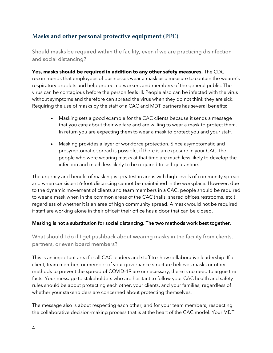# **Masks and other personal protective equipment (PPE)**

Should masks be required within the facility, even if we are practicing disinfection and social distancing?

**Yes, masks should be required in addition to any other safety measures.** The CDC recommends that employees of businesses wear a mask as a measure to contain the wearer's respiratory droplets and help protect co-workers and members of the general public. The virus can be contagious before the person feels ill. People also can be infected with the virus without symptoms and therefore can spread the virus when they do not think they are sick. Requiring the use of masks by the staff of a CAC and MDT partners has several benefits:

- Masking sets a good example for the CAC clients because it sends a message that you care about their welfare and are willing to wear a mask to protect them. In return you are expecting them to wear a mask to protect you and your staff.
- Masking provides a layer of workforce protection. Since asymptomatic and presymptomatic spread is possible, if there is an exposure in your CAC, the people who were wearing masks at that time are much less likely to develop the infection and much less likely to be required to self-quarantine.

The urgency and benefit of masking is greatest in areas with high levels of community spread and when consistent 6-foot distancing cannot be maintained in the workplace. However, due to the dynamic movement of clients and team members in a CAC, people should be required to wear a mask when in the common areas of the CAC (halls, shared offices,restrooms, etc.) regardless of whether it is an area of high community spread. A mask would not be required if staff are working alone in their officeif their office has a door that can be closed.

#### Masking is not a substitution for social distancing. The two methods work best together.

What should I do if I get pushback about wearing masks in the facility from clients, partners, or even board members?

This is an important area for all CAC leaders and staff to show collaborative leadership. If a client, team member, or member of your governance structure believes masks or other methods to prevent the spread of COVID-19 are unnecessary, there is no need to argue the facts. Your message to stakeholders who are hesitant to follow your CAC health and safety rules should be about protecting each other, your clients, and your families, regardless of whether your stakeholders are concerned about protecting themselves.

The message also is about respecting each other, and for your team members, respecting the collaborative decision-making process that is at the heart of the CAC model. Your MDT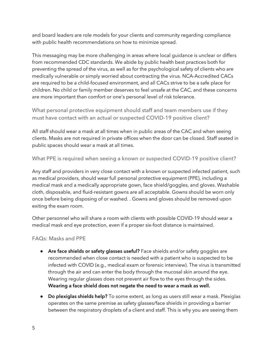and board leaders are role models for your clients and community regarding compliance with public health recommendations on how to minimize spread.

This messaging may be more challenging in areas where local guidance is unclear or differs from recommended CDC standards. We abide by public health best practices both for preventing the spread of the virus, as well as for the psychological safety of clients who are medically vulnerable or simply worried about contracting the virus. NCA-Accredited CACs are required to be a child-focused environment, and all CACs strive to be a safe place for children. No child or family member deserves to feel unsafe at the CAC, and these concerns are more important than comfort or one's personal level of risk tolerance.

What personal protective equipment should staff and team members use if they must have contact with an actual or suspected COVID-19 positive client?

All staff should wear a mask at all times when in public areas of the CAC and when seeing clients. Masks are not required in private offices when the door can be closed. Staff seated in public spaces should wear a mask at all times.

What PPE is required when seeing a known or suspected COVID-19 positive client?

Any staff and providers in very close contact with a known or suspected infected patient, such as medical providers, should wear full personal protective equipment (PPE), including a medical mask and a medically appropriate gown, face shield/goggles, and gloves. Washable cloth, disposable, and fluid-resistant gowns are all acceptable. Gowns should be worn only once before being disposing of or washed. . Gowns and gloves should be removed upon exiting the exam room.

Other personnel who will share a room with clients with possible COVID-19 should wear a medical mask and eye protection, even if a proper six-foot distance is maintained.

## FAQs: Masks and PPE

- Are face shields or safety glasses useful? Face shields and/or safety goggles are recommended when close contact is needed with a patient who is suspected to be infected with COVID (e.g., medical exam or forensic interview). The virus is transmitted through the air and can enter the body through the mucosal skin around the eye. Wearing regular glasses does not prevent air flow to the eyes through the sides. Wearing a face shield does not negate the need to wear a mask as well.
- Do plexiglas shields help? To some extent, as long as users still wear a mask. Plexiglas operates on the same premise as safety glasses/face shields in providing a barrier between the respiratory droplets of a client and staff. This is why you are seeing them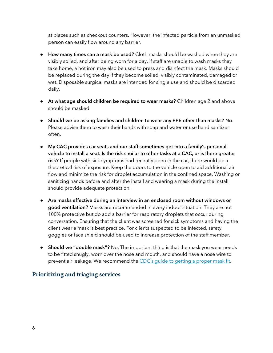at places such as checkout counters. However, the infected particle from an unmasked person can easily flow around any barrier.

- How many times can a mask be used? Cloth masks should be washed when they are visibly soiled, and after being worn for a day. If staff are unable to wash masks they take home, a hot iron may also be used to press and disinfect the mask. Masks should be replaced during the day if they become soiled, visibly contaminated, damaged or wet. Disposable surgical masks are intended for single use and should be discarded daily.
- At what age should children be required to wear masks? Children age 2 and above should be masked.
- Should we be asking families and children to wear any PPE other than masks? No. Please advise them to wash their hands with soap and water or use hand sanitizer often.
- My CAC provides car seats and our staff sometimes get into a family's personal vehicle to install a seat. Is the risk similar to other tasks at a CAC, or is there greater risk? If people with sick symptoms had recently been in the car, there would be a theoretical risk of exposure. Keep the doors to the vehicle open to aid additional air flow and minimize the risk for droplet accumulation in the confined space. Washing or sanitizing hands before and after the install and wearing a mask during the install should provide adequate protection.
- Are masks effective during an interview in an enclosed room without windows or good ventilation? Masks are recommended in every indoor situation. They are not 100% protective but do add a barrier for respiratory droplets that occur during conversation. Ensuring that the client was screened for sick symptoms and having the client wear a mask is best practice. For clients suspected to be infected, safety goggles or face shield should be used to increase protection of the staff member.
- Should we "double mask"? No. The important thing is that the mask you wear needs to be fitted snugly, worn over the nose and mouth, and should have a nose wire to prevent air leakage. We recommend the CDC's quide to [getting](https://www.cdc.gov/coronavirus/2019-ncov/your-health/effective-masks.html) a proper mask fit.

# **Prioritizing and triaging services**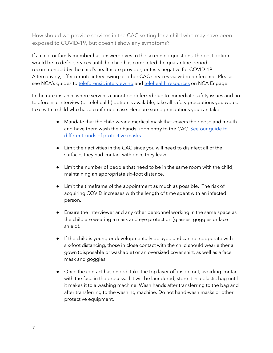How should we provide services in the CAC setting for a child who may have been exposed to COVID-19, but doesn't show any symptoms?

If a child or family member has answered yes to the screening questions, the best option would be to defer services until the child has completed the quarantine period recommended by the child's healthcare provider, or tests negative for COVID-19. Alternatively, offer remote interviewing or other CAC services via videoconference. Please see NCA's quides to [teleforensic interviewing](https://learn.nationalchildrensalliance.org/telefi) and [telehealth resources](https://learn.nationalchildrensalliance.org/telehealth) on NCA Engage.

In the rare instance where services cannot be deferred due to immediate safety issues and no teleforensic interview (or telehealth) option is available, take all safety precautions you would take with a child who has a confirmed case. Here are some precautions you can take:

- Mandate that the child wear a medical mask that covers their nose and mouth and have them wash their hands upon entry to the CAC. [See our guide to](https://learn.nationalchildrensalliance.org/covidmasks)  [different kinds of protective masks](https://learn.nationalchildrensalliance.org/covidmasks)
- Limit their activities in the CAC since you will need to disinfect all of the surfaces they had contact with once they leave.
- Limit the number of people that need to be in the same room with the child, maintaining an appropriate six-foot distance.
- Limit the timeframe of the appointment as much as possible. The risk of acquiring COVID increases with the length of time spent with an infected person.
- Ensure the interviewer and any other personnel working in the same space as the child are wearing a mask and eye protection (glasses, goggles or face shield).
- If the child is young or developmentally delayed and cannot cooperate with six-foot distancing, those in close contact with the child should wear either a gown (disposable or washable) or an oversized cover shirt, as well as a face mask and goggles.
- Once the contact has ended, take the top layer off inside out, avoiding contact with the face in the process. If it will be laundered, store it in a plastic bag until it makes it to a washing machine. Wash hands after transferring to the bag and after transferring to the washing machine. Do not hand-wash masks or other protective equipment.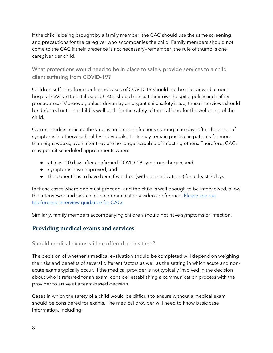If the child is being brought by a family member, the CAC should use the same screening and precautions for the caregiver who accompanies the child. Family members should not come to the CAC if their presence is not necessary—remember, the rule of thumb is one caregiver per child.

What protections would need to be in place to safely provide services to a child client suffering from COVID-19?

Children suffering from confirmed cases of COVID-19 should not be interviewed at nonhospital CACs. (Hospital-based CACs should consult their own hospital policy and safety procedures.) Moreover, unless driven by an urgent child safety issue, these interviews should be deferred until the child is well both for the safety of the staff and for the wellbeing of the child.

Current studies indicate the virus is no longer infectious starting nine days after the onset of symptoms in otherwise healthy individuals. Tests may remain positive in patients for more than eight weeks, even after they are no longer capable of infecting others. Therefore, CACs may permit scheduled appointments when:

- at least 10 days after confirmed COVID-19 symptoms began, and
- **•** symptoms have improved, and
- the patient has to have been fever-free (without medications) for at least 3 days.

In those cases where one must proceed, and the child is well enough to be interviewed, allow the interviewer and sick child to communicate by video conference. [Please see our](https://learn.nationalchildrensalliance.org/telefi)  teleforensic interview quidance for CACs.

Similarly, family members accompanying children should not have symptoms of infection.

# **Providing medical exams and services**

#### Should medical exams still be offered at this time?

The decision of whether a medical evaluation should be completed will depend on weighing the risks and benefits of several different factors as well as the setting in which acute and nonacute exams typically occur. If the medical provider is not typically involved in the decision about who is referred for an exam, consider establishing a communication process with the provider to arrive at a team-based decision.

Cases in which the safety of a child would be difficult to ensure without a medical exam should be considered for exams. The medical provider will need to know basic case information, including: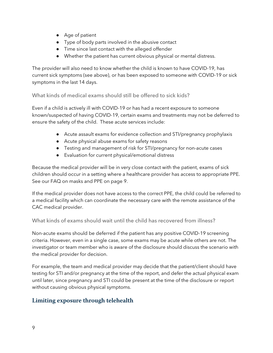- Age of patient
- Type of body parts involved in the abusive contact
- Time since last contact with the alleged offender
- Whether the patient has current obvious physical or mental distress.

The provider will also need to know whether the child is known to have COVID-19, has current sick symptoms (see above), or has been exposed to someone with COVID-19 or sick symptoms in the last 14 days.

What kinds of medical exams should still be offered to sick kids?

Even if a child is actively ill with COVID-19 or has had a recent exposure to someone known/suspected of having COVID-19, certain exams and treatments may not be deferred to ensure the safety of the child. These acute services include:

- Acute assault exams for evidence collection and STI/pregnancy prophylaxis
- Acute physical abuse exams for safety reasons
- Testing and management of risk for STI/pregnancy for non-acute cases
- Evaluation for current physical/emotional distress

Because the medical provider will be in very close contact with the patient, exams of sick children should occur in a setting where a healthcare provider has access to appropriate PPE. See our FAQ on masks and PPE on page 9.

If the medical provider does not have access to the correct PPE, the child could be referred to a medical facility which can coordinate the necessary care with the remote assistance of the CAC medical provider.

What kinds of exams should wait until the child has recovered from illness?

Non-acute exams should be deferred if the patient has any positive COVID-19 screening criteria. However, even in a single case, some exams may be acute while others are not. The investigator or team member who is aware of the disclosure should discuss the scenario with the medical provider for decision.

For example, the team and medical provider may decide that the patient/client should have testing for STI and/or pregnancy at the time of the report, and defer the actual physical exam until later, since pregnancy and STI could be present at the time of the disclosure or report without causing obvious physical symptoms.

# **Limiting exposure through telehealth**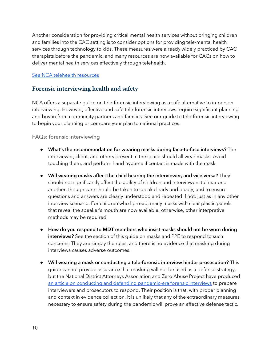Another consideration for providing critical mental health services without bringing children and families into the CAC setting is to consider options for providing tele-mental health services through technology to kids. These measures were already widely practiced by CAC therapists before the pandemic, and many resources are now available for CACs on how to deliver mental health services effectively through telehealth.

#### [See NCA telehealth resources](https://learn.nationalchildrensalliance.org/telehealth)

## **Forensic interviewing health and safety**

NCA offers a separate guide on tele-forensic interviewing as a safe alternative to in-person interviewing. However, effective and safe tele-forensic interviews require significant planning and buy-in from community partners and families. See our guide to tele-forensic interviewing to begin your planning or compare your plan to national practices.

#### FAQs: forensic interviewing

- What's the recommendation for wearing masks during face-to-face interviews? The interviewer, client, and others present in the space should all wear masks. Avoid touching them, and perform hand hygiene if contact is made with the mask.
- Will wearing masks affect the child hearing the interviewer, and vice versa? They should not significantly affect the ability of children and interviewers to hear one another, though care should be taken to speak clearly and loudly, and to ensure questions and answers are clearly understood and repeated if not, just as in any other interview scenario. For children who lip-read, many masks with clear plastic panels that reveal the speaker's mouth are now available; otherwise, other interpretive methods may be required.
- How do you respond to MDT members who insist masks should not be worn during interviews? See the section of this quide on masks and PPE to respond to such concerns. They are simply the rules, and there is no evidence that masking during interviews causes adverse outcomes.
- Will wearing a mask or conducting a tele-forensic interview hinder prosecution? This guide cannot provide assurance that masking will not be used as a defense strategy, but the National District Attorneys Association and Zero Abuse Project have produced [an article on conducting and defending pandemic-era forensic interviews](https://www.zeroabuseproject.org/conducting-and-defending-pandemic-era-forensic-interview/) to prepare interviewers and prosecutors to respond. Their position is that, with proper planning and context in evidence collection, it is unlikely that any of the extraordinary measures necessary to ensure safety during the pandemic will prove an effective defense tactic.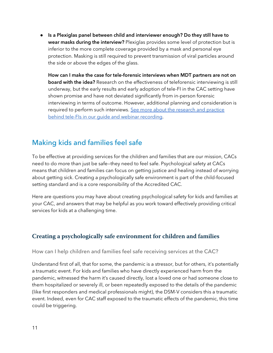● Is a Plexiglas panel between child and interviewer enough? Do they still have to wear masks during the interview? Plexiglas provides some level of protection but is inferior to the more complete coverage provided by a mask and personal eye protection. Masking is still required to prevent transmission of viral particles around the side or above the edges of the glass.

How can I make the case for tele-forensic interviews when MDT partners are not on board with the idea? Research on the effectiveness of teleforensic interviewing is still underway, but the early results and early adoption of tele-FI in the CAC setting have shown promise and have not deviated significantly from in-person forensic interviewing in terms of outcome. However, additional planning and consideration is required to perform such interviews. See more about the research and practice behind tele-FIs in our quide and webinar recording.

# Making kids and families feel safe

To be effective at providing services for the children and families that are our mission, CACs need to do more than just be safe—they need to feel safe. Psychological safety at CACs means that children and families can focus on getting justice and healing instead of worrying about getting sick. Creating a psychologically safe environment is part of the child-focused setting standard and is a core responsibility of the Accredited CAC.

Here are questions you may have about creating psychological safety for kids and families at your CAC, and answers that may be helpful as you work toward effectively providing critical services for kids at a challenging time.

# **Creating a psychologically safe environment for children and families**

#### How can I help children and families feel safe receiving services at the CAC?

Understand first of all, that for some, the pandemic is a stressor, but for others, it's potentially a traumatic event. For kids and families who have directly experienced harm from the pandemic, witnessed the harm it's caused directly, lost a loved one or had someone close to them hospitalized or severely ill, or been repeatedly exposed to the details of the pandemic (like first responders and medical professionals might), the DSM-V considers this a traumatic event. Indeed, even for CAC staff exposed to the traumatic effects of the pandemic, this time could be triggering.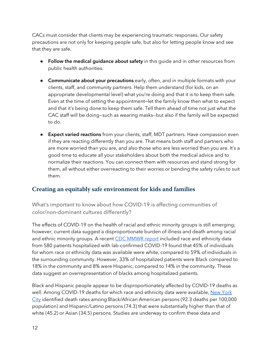CACs must consider that clients may be experiencing traumatic responses. Our safety precautions are not only for keeping people safe, but also for letting people know and see that they are safe.

- Follow the medical guidance about safety in this quide and in other resources from public health authorities.
- Communicate about your precautions early, often, and in multiple formats with your clients, staff, and community partners. Help them understand (for kids, on an appropriate developmental level) what you're doing and that it is to keep them safe. Even at the time of setting the appointment—let the family know then what to expect and that it's being done to keep them safe. Tell them ahead of time not just what the CAC staff will be doing—such as wearing masks—but also if the family will be expected to do.
- Expect varied reactions from your clients, staff, MDT partners. Have compassion even if they are reacting differently than you are. That means both staff and partners who are more worried than you are, and also those who are less worried than you are. It's a good time to educate all your stakeholders about both the medical advice and to normalize their reactions. You can connect them with resources and stand strong for them, all without either overreacting to their worries or bending the safety rules to suit them.

# **Creating an equitably safe environment for kids and families**

What's important to know about how COVID-19 is affecting communities of color/non-dominant cultures differently?

The effects of COVID-19 on the health of racial and ethnic minority groups is still emerging; however, current data suggest a disproportionate burden of illness and death among racial and ethnic minority groups. A recent [CDC MMWR report](https://www.cdc.gov/mmwr/volumes/69/wr/mm6915e3.htm?s_cid=mm6915e3_w) included race and ethnicity data from 580 patients hospitalized with lab-confirmed COVID-19 found that 45% of individuals for whom race or ethnicity data was available were white, compared to 59% of individuals in the surrounding community. However, 33% of hospitalized patients were Black compared to 18% in the community and 8% were Hispanic, compared to 14% in the community. These data suggest an overrepresentation of blacks among hospitalized patients.

Black and Hispanic people appear to be disproportionately affected by COVID-19 deaths as well. Among COVID-19 deaths for which race and ethnicity data were available, [New York](https://www1.nyc.gov/assets/doh/downloads/pdf/imm/covid-19-deaths-race-ethnicity-04162020-1.pdf)  [City](https://www1.nyc.gov/assets/doh/downloads/pdf/imm/covid-19-deaths-race-ethnicity-04162020-1.pdf) identified death rates among Black/African American persons (92.3 deaths per 100,000 population) and Hispanic/Latino persons (74.3) that were substantially higher than that of white (45.2) or Asian (34.5) persons. Studies are underway to confirm these data and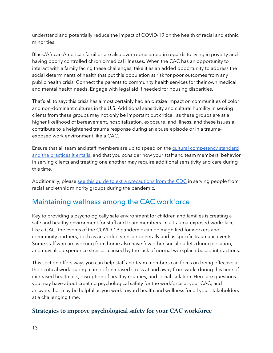understand and potentially reduce the impact of COVID-19 on the health of racial and ethnic minorities.

Black/African American families are also over-represented in regards to living in poverty and having poorly controlled chronic medical illnesses. When the CAC has an opportunity to interact with a family facing these challenges, take it as an added opportunity to address the social determinants of health that put this population at risk for poor outcomes from any public health crisis. Connect the parents to community health services for their own medical and mental health needs. Engage with legal aid if needed for housing disparities.

That's all to say: this crisis has almost certainly had an outsize impact on communities of color and non-dominant cultures in the U.S. Additional sensitivity and cultural humility in serving clients from these groups may not only be important but critical, as these groups are at a higher likelihood of bereavement, hospitalization, exposure, and illness, and these issues all contribute to a heightened trauma response during an abuse episode or in a traumaexposed work environment like a CAC.

Ensure that all team and staff members are up to speed on the [cultural competency standard](https://www.nationalchildrensalliance.org/ncas-standards-for-accredited-members/)  [and the practices it entails,](https://www.nationalchildrensalliance.org/ncas-standards-for-accredited-members/) and that you consider how your staff and team members' behavior in serving clients and treating one another may require additional sensitivity and care during this time.

Additionally, please see this quide to extra precautions [from the CDC](https://www.cdc.gov/coronavirus/2019-ncov/need-extra-precautions/racial-ethnic-minorities.html) in serving people from racial and ethnic minority groups during the pandemic.

# Maintaining wellness among the CAC workforce

Key to providing a psychologically safe environment for children and families is creating a safe and healthy environment for staff and team members. In a trauma-exposed workplace like a CAC, the events of the COVID-19 pandemic can be magnified for workers and community partners, both as an added stressor generally and as specific traumatic events. Some staff who are working from home also have few other social outlets during isolation, and may also experience stresses caused by the lack of normal workplace-based interactions.

This section offers ways you can help staff and team members can focus on being effective at their critical work during a time of increased stress at and away from work, during this time of increased health risk, disruption of healthy routines, and social isolation. Here are questions you may have about creating psychological safety for the workforce at your CAC, and answers that may be helpful as you work toward health and wellness for all your stakeholders at a challenging time.

# **Strategies to improve psychological safety for your CAC workforce**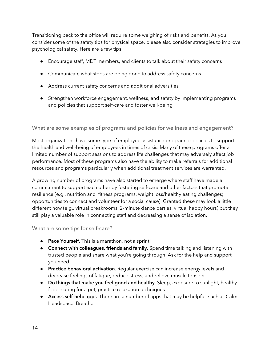Transitioning back to the office will require some weighing of risks and benefits. As you consider some of the safety tips for physical space, please also consider strategies to improve psychological safety. Here are a few tips:

- Encourage staff, MDT members, and clients to talk about their safety concerns
- Communicate what steps are being done to address safety concerns
- Address current safety concerns and additional adversities
- Strengthen workforce engagement, wellness, and safety by implementing programs and policies that support self-care and foster well-being

What are some examples of programs and policies for wellness and engagement?

Most organizations have some type of employee assistance program or policies to support the health and well-being of employees in times of crisis. Many of these programs offer a limited number of support sessions to address life challenges that may adversely affect job performance. Most of these programs also have the ability to make referrals for additional resources and programs particularly when additional treatment services are warranted.

A growing number of programs have also started to emerge where staff have made a commitment to support each other by fostering self-care and other factors that promote resilience (e.g., nutrition and fitness programs, weight loss/healthy eating challenges; opportunities to connect and volunteer for a social cause). Granted these may look a little different now (e.g., virtual breakrooms, 2-minute dance parties, virtual happy hours) but they still play a valuable role in connecting staff and decreasing a sense of isolation.

What are some tips for self-care?

- Pace Yourself. This is a marathon, not a sprint!
- **Connect with colleagues, friends and family**. Spend time talking and listening with trusted people and share what you're going through. Ask for the help and support you need.
- **Practice behavioral activation**. Regular exercise can increase energy levels and decrease feelings of fatigue, reduce stress, and relieve muscle tension.
- Do things that make you feel good and healthy. Sleep, exposure to sunlight, healthy food, caring for a pet, practice relaxation techniques.
- Access self-help apps. There are a number of apps that may be helpful, such as Calm, Headspace, Breathe